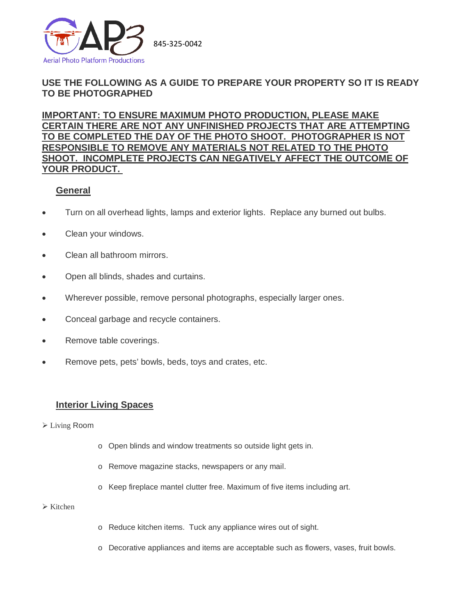

# **USE THE FOLLOWING AS A GUIDE TO PREPARE YOUR PROPERTY SO IT IS READY TO BE PHOTOGRAPHED**

**IMPORTANT: TO ENSURE MAXIMUM PHOTO PRODUCTION, PLEASE MAKE CERTAIN THERE ARE NOT ANY UNFINISHED PROJECTS THAT ARE ATTEMPTING TO BE COMPLETED THE DAY OF THE PHOTO SHOOT. PHOTOGRAPHER IS NOT RESPONSIBLE TO REMOVE ANY MATERIALS NOT RELATED TO THE PHOTO SHOOT. INCOMPLETE PROJECTS CAN NEGATIVELY AFFECT THE OUTCOME OF YOUR PRODUCT.**

# **General**

- Turn on all overhead lights, lamps and exterior lights. Replace any burned out bulbs.
- Clean your windows.
- Clean all bathroom mirrors.
- Open all blinds, shades and curtains.
- Wherever possible, remove personal photographs, especially larger ones.
- Conceal garbage and recycle containers.
- Remove table coverings.
- Remove pets, pets' bowls, beds, toys and crates, etc.

## **Interior Living Spaces**

- Living Room
- o Open blinds and window treatments so outside light gets in.
- o Remove magazine stacks, newspapers or any mail.
- o Keep fireplace mantel clutter free. Maximum of five items including art.

## $\triangleright$  Kitchen

- o Reduce kitchen items. Tuck any appliance wires out of sight.
- o Decorative appliances and items are acceptable such as flowers, vases, fruit bowls.